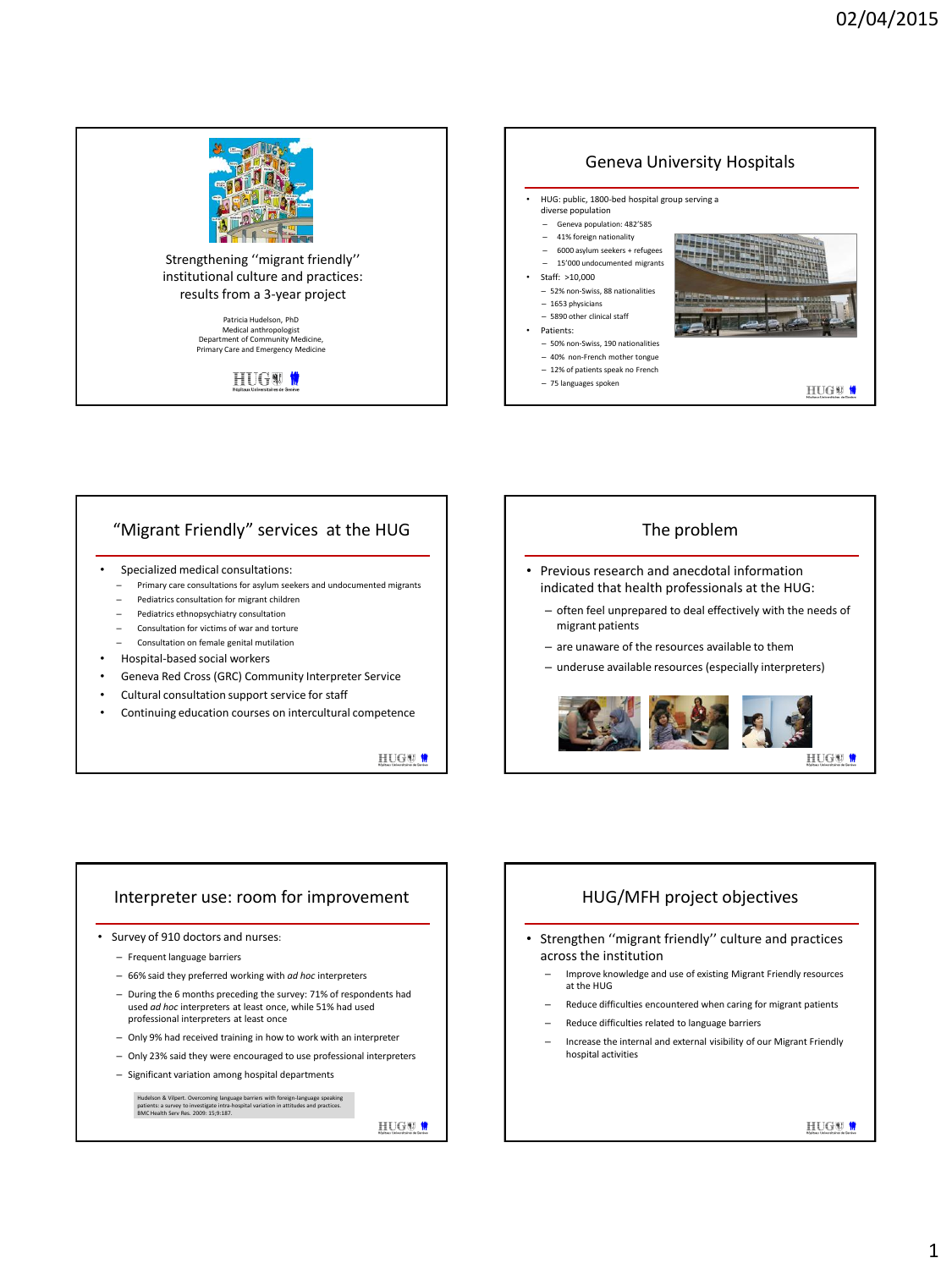

# "Migrant Friendly" services at the HUG

- Specialized medical consultations:
	- Primary care consultations for asylum seekers and undocumented migrants
	- Pediatrics consultation for migrant children
	- Pediatrics ethnopsychiatry consultation
	- Consultation for victims of war and torture
	- Consultation on female genital mutilation
- Hospital-based social workers
- Geneva Red Cross (GRC) Community Interpreter Service
- Cultural consultation support service for staff
- Continuing education courses on intercultural competence

HUGU<sup>0</sup>



#### Interpreter use: room for improvement

- Survey of 910 doctors and nurses:
	- Frequent language barriers
	- 66% said they preferred working with *ad hoc* interpreters
	- During the 6 months preceding the survey: 71% of respondents had used *ad hoc* interpreters at least once, while 51% had used professional interpreters at least once
	- Only 9% had received training in how to work with an interpreter
	- Only 23% said they were encouraged to use professional interpreters
	- Significant variation among hospital departments

Hudelson & Vilpert. Overcoming language barriers with foreign-language speaking patients: a survey to investigate intra-hospital variation in attitudes and practices. patients: a survey to investigate intra-ho<br>BMC Health Serv Res. 2009: 15;9:187.

HUGW<sup>W</sup>

#### HUG/MFH project objectives

- Strengthen ''migrant friendly'' culture and practices across the institution
	- Improve knowledge and use of existing Migrant Friendly resources at the HUG
	- Reduce difficulties encountered when caring for migrant patients
	- Reduce difficulties related to language barriers
	- Increase the internal and external visibility of our Migrant Friendly hospital activities

HUGW<sup>W</sup>

HUGU<sup>0</sup>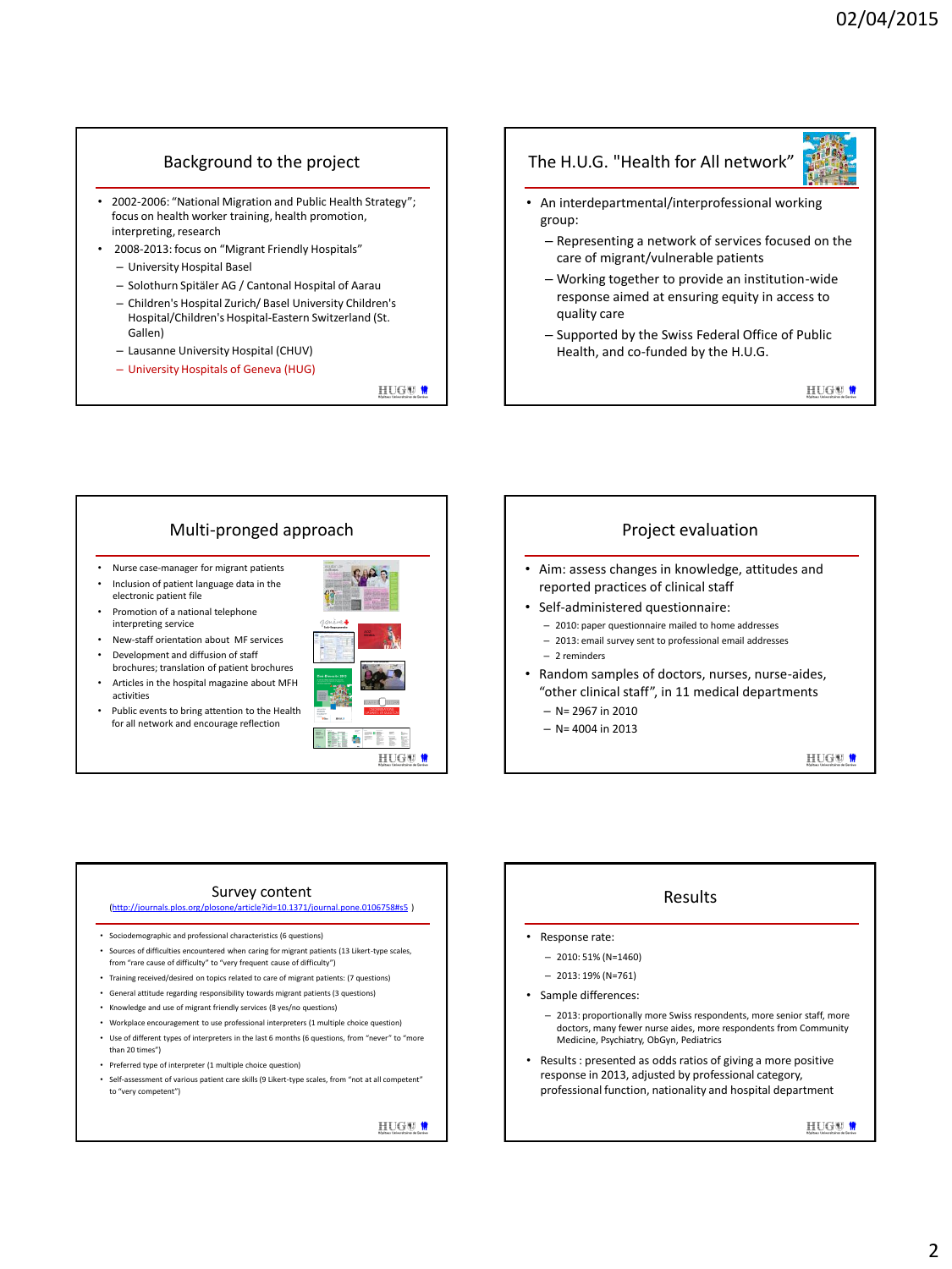## Background to the project

- 2002-2006: "National Migration and Public Health Strategy"; focus on health worker training, health promotion, interpreting, research
- 2008-2013: focus on "Migrant Friendly Hospitals"
	- University Hospital Basel
	- Solothurn Spitäler AG / Cantonal Hospital of Aarau
	- Children's Hospital Zurich/ Basel University Children's Hospital/Children's Hospital-Eastern Switzerland (St. Gallen)
	- Lausanne University Hospital (CHUV)
	- University Hospitals of Geneva (HUG)

HUGW <sup>0</sup>

# The H.U.G. "Health for All network"

- An interdepartmental/interprofessional working group:
	- Representing a network of services focused on the care of migrant/vulnerable patients
	- Working together to provide an institution-wide response aimed at ensuring equity in access to quality care
	- Supported by the Swiss Federal Office of Public Health, and co-funded by the H.U.G.

HUGW <sup>0</sup>

# Multi-pronged approach

- Nurse case-manager for migrant patients
- Inclusion of patient language data in the electronic patient file
- Promotion of a national telephone interpreting service
- New-staff orientation about MF services • Development and diffusion of staff
- brochures; translation of patient brochures • Articles in the hospital magazine about MFH activities
- Public events to bring attention to the Health for all network and encourage reflection



## Project evaluation • Aim: assess changes in knowledge, attitudes and reported practices of clinical staff • Self-administered questionnaire: – 2010: paper questionnaire mailed to home addresses – 2013: email survey sent to professional email addresses – 2 reminders

- Random samples of doctors, nurses, nurse-aides, "other clinical staff", in 11 medical departments
	- N= 2967 in 2010
	- $-$  N= 4004 in 2013

HUGU<sup>0</sup>

#### Survey content

#### ([http://journals.plos.org/plosone/article?id=10.1371/journal.pone.0106758#s5](http://journals.plos.org/plosone/article?id=10.1371/journal.pone.0106758) )

- Sociodemographic and professional characteristics (6 questions)
- Sources of difficulties encountered when caring for migrant patients (13 Likert-type scales, from "rare cause of difficulty" to "very frequent cause of difficulty")
- Training received/desired on topics related to care of migrant patients: (7 questions)
- General attitude regarding responsibility towards migrant patients (3 questions)
- Knowledge and use of migrant friendly services (8 yes/no questions)
- Workplace encouragement to use professional interpreters (1 multiple choice question) • Use of different types of interpreters in the last 6 months (6 questions, from "never" to "more than 20 times")
- Preferred type of interpreter (1 multiple choice question)
- Self-assessment of various patient care skills (9 Likert-type scales, from "not at all competent" to "very competent")

HUGW<sup>W</sup>

# Results

- Response rate:
	- 2010: 51% (N=1460)
	- 2013: 19% (N=761)
- Sample differences:
	- 2013: proportionally more Swiss respondents, more senior staff, more doctors, many fewer nurse aides, more respondents from Community Medicine, Psychiatry, ObGyn, Pediatrics
- Results : presented as odds ratios of giving a more positive response in 2013, adjusted by professional category, professional function, nationality and hospital department

HUGW<sup>W</sup>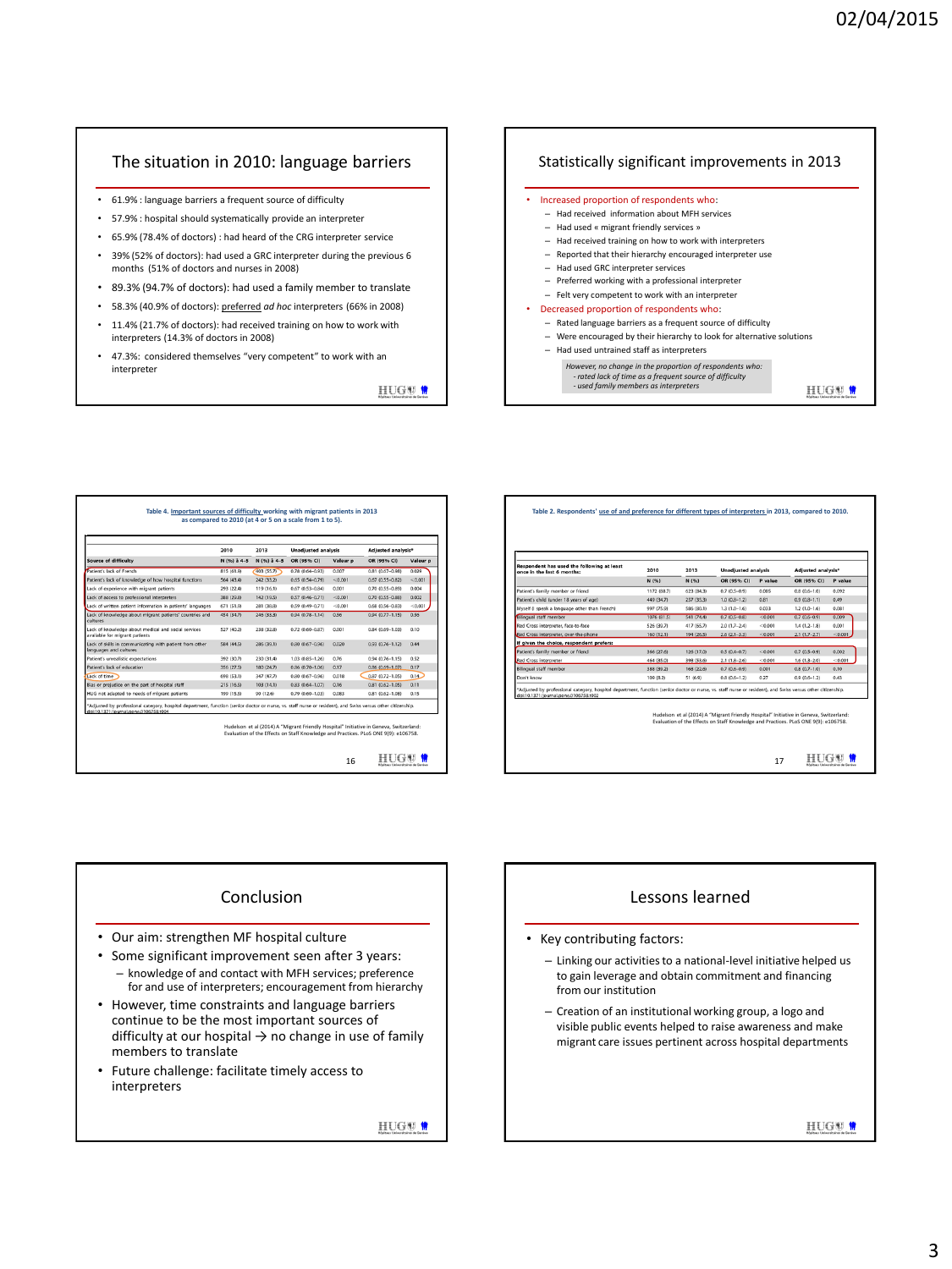## The situation in 2010: language barriers

- 61.9% : language barriers a frequent source of difficulty
- 57.9% : hospital should systematically provide an interpreter
- 65.9% (78.4% of doctors) : had heard of the CRG interpreter service
- 39% (52% of doctors): had used a GRC interpreter during the previous 6 months (51% of doctors and nurses in 2008)
- 89.3% (94.7% of doctors): had used a family member to translate
- 58.3% (40.9% of doctors): preferred *ad hoc* interpreters (66% in 2008)
- 11.4% (21.7% of doctors): had received training on how to work with interpreters (14.3% of doctors in 2008)
- 47.3%: considered themselves "very competent" to work with an interpreter

HUG<sup>®</sup>

#### Statistically significant improvements in 2013



|                                                                                       | 2010<br>N (%) à 4-5 | 2013<br>N (%) à 4-5 | <b>Unadjusted analysis</b> |          | Adjusted analysis*  |          |
|---------------------------------------------------------------------------------------|---------------------|---------------------|----------------------------|----------|---------------------|----------|
| <b>Source of difficulty</b>                                                           |                     |                     | OR (95% CI)                | Valeur p | OR (95% CI)         | Valeur p |
| Patient's lack of French                                                              | 815 (61.9)          | 403 (55.7)          | $0.78(0.64 - 0.93)$        | 0.007    | $0.81(0.67 - 0.98)$ | 0.029    |
| Patient's lack of knowledge of how hospital functions                                 | 564 (43.4)          | 242 (33.2)          | $0.65(0.54 - 0.79)$        | < 0.001  | $0.67(0.55 - 0.82)$ | < 0.001  |
| Lack of experience with migrant patients                                              | 293 (22.4)          | 119 (16.1)          | $0.67(0.53 - 0.84)$        | 0.001    | 0.70 (0.55-0.89)    | 0.004    |
| Lack of access to professional interpreters                                           | 388 (29.8)          | 142 (19.5)          | $0.57(0.46 - 0.71)$        | < 0.001  | $0.70(0.55 - 0.88)$ | 0.002    |
| Lack of written patient information in patients' languages                            | 671 (51.9)          | 281 (38.8)          | $0.59(0.49 - 0.71)$        | < 0.001  | 0.68 (0.56-0.83)    | < 0.001  |
| Lack of knowledge about migrant patients' countries and<br>cultures                   | 454 (34.7)          | 246 (33.3)          | $0.94(0.78 - 1.14)$        | 0.56     | $0.94(0.77 - 1.15)$ | 0.56     |
| Lack of knowledge about medical and social services<br>available for migrant patients | 527 (40.2)          | 238 (32.8)          | $0.72(0.60 - 0.87)$        | 0.001    | 0.84 (0.69-1.03)    | 0.10     |
| Lack of skills in communicating with patient from other<br>languages and cultures     | 584 (44.5)          | 286 (39.1)          | $0.80(0.67 - 0.96)$        | 0.020    | $0.93(0.76 - 1.12)$ | 0.44     |
| Patient's unrealistic expectations                                                    | 392 (30.7)          | 230 (31.4)          | 1.03 (0.85-1.26)           | 0.76     | $0.94(0.76 - 1.15)$ | 0.52     |
| Patient's lack of education                                                           | 356 (27.5)          | 180 (24.7)          | $0.86(0.70 - 1.06)$        | 0.17     | 0.86 (0.69-1.07)    | 0.17     |
| Lack of time                                                                          | 698 (53.1)          | 347 (47.7)          | $0.80(0.67 - 0.96)$        | 0.018    | $0.87(0.72 - 1.05)$ | 0.14     |
| Bias or prejudice on the part of hospital staff                                       | 215 (16.5)          | 103(14.1)           | $0.83(0.64 - 1.07)$        | 0.16     | $0.81(0.62 - 1.05)$ | 0.11     |
| HUG not adapted to needs of migrant patients                                          | 199 (15.5)          | 90 (12.6)           | $0.79(0.60 - 1.03)$        | 0.083    | $0.81(0.62 - 1.08)$ | 0.15     |

|                                               |             |            |                  | <b>Unadjusted analysis</b> |                  | <b>Adjusted analysis*</b> |  |
|-----------------------------------------------|-------------|------------|------------------|----------------------------|------------------|---------------------------|--|
|                                               | N (%)       | N (%)      | OR (95% CI)      | P value                    | OR (95% CI)      | P value                   |  |
| Patient's family member or friend             | 1172 (88.7) | 623 (84.3) | $0.7(0.5 - 0.9)$ | 0.005                      | $0.8(0.6 - 1.0)$ | 0.092                     |  |
| Patient's child (under 18 years of age)       | 449 (34.7)  | 257 (35.3) | $1.0(0.8-1.2)$   | 0.81                       | $0.9(0.8-1.1)$   | 0.49                      |  |
| Myself (I speak a language other than French) | 997 (75.9)  | 586 (80.1) | $1.3(1.0-1.6)$   | 0.033                      | $1.2(1.0-1.6)$   | 0.081                     |  |
| silingual staff member                        | 1076 (81.5) | 541 (74.4) | $0.7(0.5 - 0.8)$ | < 0.001                    | $0.7(0.6 - 0.9)$ | 0.009                     |  |
| Red Cross interpreter, face-to-face           | 526 (39.7)  | 417 (65.7) | $2.0(1.7-2.4)$   | < 0.001                    | $1,4(1,2-1,8)$   | 0.001                     |  |
| Red Cross Interpreter, over-the-phone         | 160 (12.1)  | 194 (26.5) | $2.6(2.1 - 3.3)$ | < 0.001                    | $2.1(1.7 - 2.7)$ | < 0.001                   |  |
| If alven the choice, respondent prefers:      |             |            |                  |                            |                  |                           |  |
| Patient's family member or friend             | 366 (27.6)  | 126 (17.0) | $0.5(0.4 - 0.7)$ | < 0.001                    | $0.7(0.5 - 0.9)$ | 0.002                     |  |
| Red Cross interpreter                         | 464 (35.0)  | 398 (53.6) | $2.1(1.8-2.6)$   | < 0.001                    | $1.6(1.3 - 2.0)$ | < 0.001                   |  |
| Bilingual staff member                        | 388 (39.2)  | 168 (22.6) | $0.7(0.6 - 0.9)$ | 0.001                      | $0.8(0.7-1.0)$   | 0.10                      |  |
| Don't know                                    | 109 (8.2)   | 51 (6.9)   | $0.8(0.6 - 1.2)$ | 0.27                       | $0.9(0.6-1.2)$   | 0.43                      |  |

#### Conclusion

- Our aim: strengthen MF hospital culture
- Some significant improvement seen after 3 years: – knowledge of and contact with MFH services; preference for and use of interpreters; encouragement from hierarchy
- However, time constraints and language barriers continue to be the most important sources of difficulty at our hospital  $\rightarrow$  no change in use of family members to translate
- Future challenge: facilitate timely access to interpreters

HUGW<sup>W</sup>

# Lessons learned

- Key contributing factors:
	- Linking our activities to a national-level initiative helped us to gain leverage and obtain commitment and financing from our institution
	- Creation of an institutional working group, a logo and visible public events helped to raise awareness and make migrant care issues pertinent across hospital departments

HUGW<sup>W</sup>